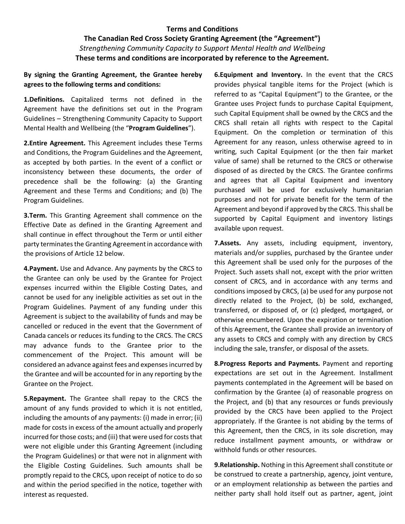#### **Terms and Conditions**

## **The Canadian Red Cross Society Granting Agreement (the "Agreement")**  *Strengthening Community Capacity to Support Mental Health and Wellbeing* **These terms and conditions are incorporated by reference to the Agreement.**

#### **By signing the Granting Agreement, the Grantee hereby agrees to the following terms and conditions:**

**1.Definitions.** Capitalized terms not defined in the Agreement have the definitions set out in the Program Guidelines – Strengthening Community Capacity to Support Mental Health and Wellbeing (the "**Program Guidelines**").

**2.Entire Agreement.** This Agreement includes these Terms and Conditions, the Program Guidelines and the Agreement, as accepted by both parties. In the event of a conflict or inconsistency between these documents, the order of precedence shall be the following: (a) the Granting Agreement and these Terms and Conditions; and (b) The Program Guidelines.

**3.Term.** This Granting Agreement shall commence on the Effective Date as defined in the Granting Agreement and shall continue in effect throughout the Term or until either party terminates the Granting Agreement in accordance with the provisions of Article 12 below.

**4.Payment.** Use and Advance. Any payments by the CRCS to the Grantee can only be used by the Grantee for Project expenses incurred within the Eligible Costing Dates, and cannot be used for any ineligible activities as set out in the Program Guidelines. Payment of any funding under this Agreement is subject to the availability of funds and may be cancelled or reduced in the event that the Government of Canada cancels or reduces its funding to the CRCS. The CRCS may advance funds to the Grantee prior to the commencement of the Project. This amount will be considered an advance against fees and expenses incurred by the Grantee and will be accounted for in any reporting by the Grantee on the Project.

**5.Repayment.** The Grantee shall repay to the CRCS the amount of any funds provided to which it is not entitled, including the amounts of any payments: (i) made in error; (ii) made for costs in excess of the amount actually and properly incurred for those costs; and (iii) that were used for costs that were not eligible under this Granting Agreement (including the Program Guidelines) or that were not in alignment with the Eligible Costing Guidelines. Such amounts shall be promptly repaid to the CRCS, upon receipt of notice to do so and within the period specified in the notice, together with interest as requested.

**6.Equipment and Inventory.** In the event that the CRCS provides physical tangible items for the Project (which is referred to as "Capital Equipment") to the Grantee, or the Grantee uses Project funds to purchase Capital Equipment, such Capital Equipment shall be owned by the CRCS and the CRCS shall retain all rights with respect to the Capital Equipment. On the completion or termination of this Agreement for any reason, unless otherwise agreed to in writing, such Capital Equipment (or the then fair market value of same) shall be returned to the CRCS or otherwise disposed of as directed by the CRCS. The Grantee confirms and agrees that all Capital Equipment and inventory purchased will be used for exclusively humanitarian purposes and not for private benefit for the term of the Agreement and beyond if approved by the CRCS. This shall be supported by Capital Equipment and inventory listings available upon request.

**7.Assets.** Any assets, including equipment, inventory, materials and/or supplies, purchased by the Grantee under this Agreement shall be used only for the purposes of the Project. Such assets shall not, except with the prior written consent of CRCS, and in accordance with any terms and conditions imposed by CRCS, (a) be used for any purpose not directly related to the Project, (b) be sold, exchanged, transferred, or disposed of, or (c) pledged, mortgaged, or otherwise encumbered. Upon the expiration or termination of this Agreement, the Grantee shall provide an inventory of any assets to CRCS and comply with any direction by CRCS including the sale, transfer, or disposal of the assets.

**8.Progress Reports and Payments.** Payment and reporting expectations are set out in the Agreement. Installment payments contemplated in the Agreement will be based on confirmation by the Grantee (a) of reasonable progress on the Project, and (b) that any resources or funds previously provided by the CRCS have been applied to the Project appropriately. If the Grantee is not abiding by the terms of this Agreement, then the CRCS, in its sole discretion, may reduce installment payment amounts, or withdraw or withhold funds or other resources.

**9.Relationship.** Nothing in this Agreement shall constitute or be construed to create a partnership, agency, joint venture, or an employment relationship as between the parties and neither party shall hold itself out as partner, agent, joint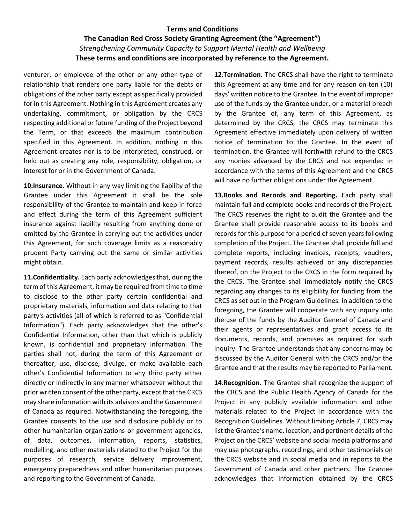#### **Terms and Conditions**

## **The Canadian Red Cross Society Granting Agreement (the "Agreement")**  *Strengthening Community Capacity to Support Mental Health and Wellbeing* **These terms and conditions are incorporated by reference to the Agreement.**

venturer, or employee of the other or any other type of relationship that renders one party liable for the debts or obligations of the other party except as specifically provided for in this Agreement. Nothing in this Agreement creates any undertaking, commitment, or obligation by the CRCS respecting additional or future funding of the Project beyond the Term, or that exceeds the maximum contribution specified in this Agreement. In addition, nothing in this Agreement creates nor is to be interpreted, construed, or held out as creating any role, responsibility, obligation, or interest for or in the Government of Canada.

**10.Insurance.** Without in any way limiting the liability of the Grantee under this Agreement it shall be the sole responsibility of the Grantee to maintain and keep in force and effect during the term of this Agreement sufficient insurance against liability resulting from anything done or omitted by the Grantee in carrying out the activities under this Agreement, for such coverage limits as a reasonably prudent Party carrying out the same or similar activities might obtain.

**11.Confidentiality.** Each party acknowledges that, during the term of this Agreement, it may be required from time to time to disclose to the other party certain confidential and proprietary materials, information and data relating to that party's activities (all of which is referred to as "Confidential Information"). Each party acknowledges that the other's Confidential Information, other than that which is publicly known, is confidential and proprietary information. The parties shall not, during the term of this Agreement or thereafter, use, disclose, divulge, or make available each other's Confidential Information to any third party either directly or indirectly in any manner whatsoever without the prior written consent of the other party, except that the CRCS may share information with its advisors and the Government of Canada as required. Notwithstanding the foregoing, the Grantee consents to the use and disclosure publicly or to other humanitarian organizations or government agencies, of data, outcomes, information, reports, statistics, modelling, and other materials related to the Project for the purposes of research, service delivery improvement, emergency preparedness and other humanitarian purposes and reporting to the Government of Canada.

**12.Termination.** The CRCS shall have the right to terminate this Agreement at any time and for any reason on ten (10) days' written notice to the Grantee. In the event of improper use of the funds by the Grantee under, or a material breach by the Grantee of, any term of this Agreement, as determined by the CRCS, the CRCS may terminate this Agreement effective immediately upon delivery of written notice of termination to the Grantee. In the event of termination, the Grantee will forthwith refund to the CRCS any monies advanced by the CRCS and not expended in accordance with the terms of this Agreement and the CRCS will have no further obligations under the Agreement.

**13.Books and Records and Reporting.** Each party shall maintain full and complete books and records of the Project. The CRCS reserves the right to audit the Grantee and the Grantee shall provide reasonable access to its books and records for this purpose for a period of seven years following completion of the Project. The Grantee shall provide full and complete reports, including invoices, receipts, vouchers, payment records, results achieved or any discrepancies thereof, on the Project to the CRCS in the form required by the CRCS. The Grantee shall immediately notify the CRCS regarding any changes to its eligibility for funding from the CRCS as set out in the Program Guidelines. In addition to the foregoing, the Grantee will cooperate with any inquiry into the use of the funds by the Auditor General of Canada and their agents or representatives and grant access to its documents, records, and premises as required for such inquiry. The Grantee understands that any concerns may be discussed by the Auditor General with the CRCS and/or the Grantee and that the results may be reported to Parliament.

**14.Recognition.** The Grantee shall recognize the support of the CRCS and the Public Health Agency of Canada for the Project in any publicly available information and other materials related to the Project in accordance with the Recognition Guidelines. Without limiting Article 7, CRCS may list the Grantee's name, location, and pertinent details of the Project on the CRCS' website and social media platforms and may use photographs, recordings, and other testimonials on the CRCS website and in social media and in reports to the Government of Canada and other partners. The Grantee acknowledges that information obtained by the CRCS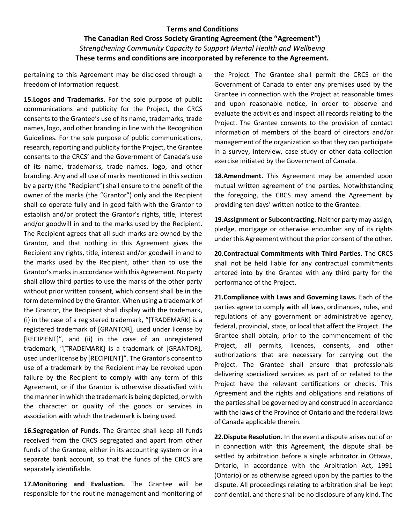# **Terms and Conditions The Canadian Red Cross Society Granting Agreement (the "Agreement")**  *Strengthening Community Capacity to Support Mental Health and Wellbeing* **These terms and conditions are incorporated by reference to the Agreement.**

pertaining to this Agreement may be disclosed through a freedom of information request.

**15.Logos and Trademarks.** For the sole purpose of public communications and publicity for the Project, the CRCS consents to the Grantee's use of its name, trademarks, trade names, logo, and other branding in line with the Recognition Guidelines. For the sole purpose of public communications, research, reporting and publicity for the Project, the Grantee consents to the CRCS' and the Government of Canada's use of its name, trademarks, trade names, logo, and other branding. Any and all use of marks mentioned in this section by a party (the "Recipient") shall ensure to the benefit of the owner of the marks (the "Grantor") only and the Recipient shall co-operate fully and in good faith with the Grantor to establish and/or protect the Grantor's rights, title, interest and/or goodwill in and to the marks used by the Recipient. The Recipient agrees that all such marks are owned by the Grantor, and that nothing in this Agreement gives the Recipient any rights, title, interest and/or goodwill in and to the marks used by the Recipient, other than to use the Grantor's marks in accordance with this Agreement. No party shall allow third parties to use the marks of the other party without prior written consent, which consent shall be in the form determined by the Grantor. When using a trademark of the Grantor, the Recipient shall display with the trademark, (i) in the case of a registered trademark, "[TRADEMARK] is a registered trademark of [GRANTOR], used under license by [RECIPIENT]", and (ii) in the case of an unregistered trademark, "[TRADEMARK] is a trademark of [GRANTOR], used under license by [RECIPIENT]". The Grantor's consent to use of a trademark by the Recipient may be revoked upon failure by the Recipient to comply with any term of this Agreement, or if the Grantor is otherwise dissatisfied with the manner in which the trademark is being depicted, or with the character or quality of the goods or services in association with which the trademark is being used.

**16.Segregation of Funds.** The Grantee shall keep all funds received from the CRCS segregated and apart from other funds of the Grantee, either in its accounting system or in a separate bank account, so that the funds of the CRCS are separately identifiable.

**17.Monitoring and Evaluation.** The Grantee will be responsible for the routine management and monitoring of the Project. The Grantee shall permit the CRCS or the Government of Canada to enter any premises used by the Grantee in connection with the Project at reasonable times and upon reasonable notice, in order to observe and evaluate the activities and inspect all records relating to the Project. The Grantee consents to the provision of contact information of members of the board of directors and/or management of the organization so that they can participate in a survey, interview, case study or other data collection exercise initiated by the Government of Canada.

**18.Amendment.** This Agreement may be amended upon mutual written agreement of the parties. Notwithstanding the foregoing, the CRCS may amend the Agreement by providing ten days' written notice to the Grantee.

**19.Assignment or Subcontracting.** Neither party may assign, pledge, mortgage or otherwise encumber any of its rights under this Agreement without the prior consent of the other.

**20.Contractual Commitments with Third Parties.** The CRCS shall not be held liable for any contractual commitments entered into by the Grantee with any third party for the performance of the Project.

**21.Compliance with Laws and Governing Laws.** Each of the parties agree to comply with all laws, ordinances, rules, and regulations of any government or administrative agency, federal, provincial, state, or local that affect the Project. The Grantee shall obtain, prior to the commencement of the Project, all permits, licences, consents, and other authorizations that are necessary for carrying out the Project. The Grantee shall ensure that professionals delivering specialized services as part of or related to the Project have the relevant certifications or checks. This Agreement and the rights and obligations and relations of the parties shall be governed by and construed in accordance with the laws of the Province of Ontario and the federal laws of Canada applicable therein.

**22.Dispute Resolution.** In the event a dispute arises out of or in connection with this Agreement, the dispute shall be settled by arbitration before a single arbitrator in Ottawa, Ontario, in accordance with the Arbitration Act, 1991 (Ontario) or as otherwise agreed upon by the parties to the dispute. All proceedings relating to arbitration shall be kept confidential, and there shall be no disclosure of any kind. The